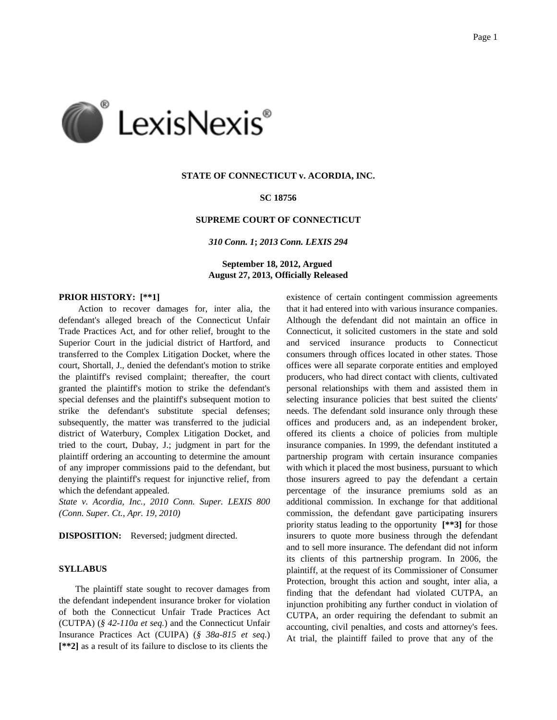

## **STATE OF CONNECTICUT v. ACORDIA, INC.**

### **SC 18756**

# **SUPREME COURT OF CONNECTICUT**

*310 Conn. 1***;** *2013 Conn. LEXIS 294*

# **September 18, 2012, Argued August 27, 2013, Officially Released**

#### **PRIOR HISTORY: [\*\*1]**

Action to recover damages for, inter alia, the defendant's alleged breach of the Connecticut Unfair Trade Practices Act, and for other relief, brought to the Superior Court in the judicial district of Hartford, and transferred to the Complex Litigation Docket, where the court, Shortall, J., denied the defendant's motion to strike the plaintiff's revised complaint; thereafter, the court granted the plaintiff's motion to strike the defendant's special defenses and the plaintiff's subsequent motion to strike the defendant's substitute special defenses; subsequently, the matter was transferred to the judicial district of Waterbury, Complex Litigation Docket, and tried to the court, Dubay, J.; judgment in part for the plaintiff ordering an accounting to determine the amount of any improper commissions paid to the defendant, but denying the plaintiff's request for injunctive relief, from which the defendant appealed.

*State v. Acordia, Inc., 2010 Conn. Super. LEXIS 800 (Conn. Super. Ct., Apr. 19, 2010)*

**DISPOSITION:** Reversed; judgment directed.

# **SYLLABUS**

The plaintiff state sought to recover damages from the defendant independent insurance broker for violation of both the Connecticut Unfair Trade Practices Act (CUTPA) (*§ 42-110a et seq.*) and the Connecticut Unfair Insurance Practices Act (CUIPA) (*§ 38a-815 et seq.*) **[\*\*2]** as a result of its failure to disclose to its clients the

existence of certain contingent commission agreements that it had entered into with various insurance companies. Although the defendant did not maintain an office in Connecticut, it solicited customers in the state and sold and serviced insurance products to Connecticut consumers through offices located in other states. Those offices were all separate corporate entities and employed producers, who had direct contact with clients, cultivated personal relationships with them and assisted them in selecting insurance policies that best suited the clients' needs. The defendant sold insurance only through these offices and producers and, as an independent broker, offered its clients a choice of policies from multiple insurance companies. In 1999, the defendant instituted a partnership program with certain insurance companies with which it placed the most business, pursuant to which those insurers agreed to pay the defendant a certain percentage of the insurance premiums sold as an additional commission. In exchange for that additional commission, the defendant gave participating insurers priority status leading to the opportunity **[\*\*3]** for those insurers to quote more business through the defendant and to sell more insurance. The defendant did not inform its clients of this partnership program. In 2006, the plaintiff, at the request of its Commissioner of Consumer Protection, brought this action and sought, inter alia, a finding that the defendant had violated CUTPA, an injunction prohibiting any further conduct in violation of CUTPA, an order requiring the defendant to submit an accounting, civil penalties, and costs and attorney's fees. At trial, the plaintiff failed to prove that any of the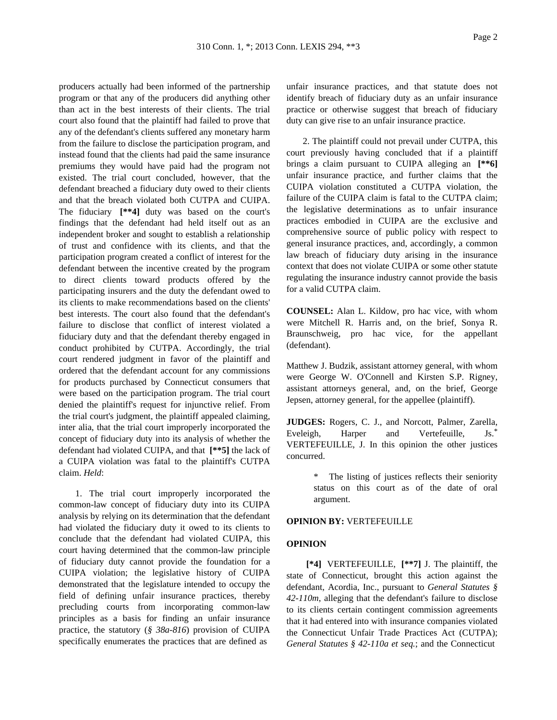producers actually had been informed of the partnership program or that any of the producers did anything other than act in the best interests of their clients. The trial court also found that the plaintiff had failed to prove that any of the defendant's clients suffered any monetary harm from the failure to disclose the participation program, and instead found that the clients had paid the same insurance premiums they would have paid had the program not existed. The trial court concluded, however, that the defendant breached a fiduciary duty owed to their clients and that the breach violated both CUTPA and CUIPA. The fiduciary **[\*\*4]** duty was based on the court's findings that the defendant had held itself out as an independent broker and sought to establish a relationship of trust and confidence with its clients, and that the participation program created a conflict of interest for the defendant between the incentive created by the program to direct clients toward products offered by the participating insurers and the duty the defendant owed to its clients to make recommendations based on the clients' best interests. The court also found that the defendant's failure to disclose that conflict of interest violated a fiduciary duty and that the defendant thereby engaged in conduct prohibited by CUTPA. Accordingly, the trial court rendered judgment in favor of the plaintiff and ordered that the defendant account for any commissions for products purchased by Connecticut consumers that were based on the participation program. The trial court denied the plaintiff's request for injunctive relief. From the trial court's judgment, the plaintiff appealed claiming, inter alia, that the trial court improperly incorporated the concept of fiduciary duty into its analysis of whether the defendant had violated CUIPA, and that **[\*\*5]** the lack of a CUIPA violation was fatal to the plaintiff's CUTPA claim. *Held*:

1. The trial court improperly incorporated the common-law concept of fiduciary duty into its CUIPA analysis by relying on its determination that the defendant had violated the fiduciary duty it owed to its clients to conclude that the defendant had violated CUIPA, this court having determined that the common-law principle of fiduciary duty cannot provide the foundation for a CUIPA violation; the legislative history of CUIPA demonstrated that the legislature intended to occupy the field of defining unfair insurance practices, thereby precluding courts from incorporating common-law principles as a basis for finding an unfair insurance practice, the statutory (*§ 38a-816*) provision of CUIPA specifically enumerates the practices that are defined as

unfair insurance practices, and that statute does not identify breach of fiduciary duty as an unfair insurance practice or otherwise suggest that breach of fiduciary duty can give rise to an unfair insurance practice.

2. The plaintiff could not prevail under CUTPA, this court previously having concluded that if a plaintiff brings a claim pursuant to CUIPA alleging an **[\*\*6]** unfair insurance practice, and further claims that the CUIPA violation constituted a CUTPA violation, the failure of the CUIPA claim is fatal to the CUTPA claim; the legislative determinations as to unfair insurance practices embodied in CUIPA are the exclusive and comprehensive source of public policy with respect to general insurance practices, and, accordingly, a common law breach of fiduciary duty arising in the insurance context that does not violate CUIPA or some other statute regulating the insurance industry cannot provide the basis for a valid CUTPA claim.

**COUNSEL:** Alan L. Kildow, pro hac vice, with whom were Mitchell R. Harris and, on the brief, Sonya R. Braunschweig, pro hac vice, for the appellant (defendant).

Matthew J. Budzik, assistant attorney general, with whom were George W. O'Connell and Kirsten S.P. Rigney, assistant attorneys general, and, on the brief, George Jepsen, attorney general, for the appellee (plaintiff).

**JUDGES:** Rogers, C. J., and Norcott, Palmer, Zarella, Eveleigh, Harper and Vertefeuille, Js.\* VERTEFEUILLE, J. In this opinion the other justices concurred.

> \* The listing of justices reflects their seniority status on this court as of the date of oral argument.

## **OPINION BY:** VERTEFEUILLE

### **OPINION**

**[\*4]** VERTEFEUILLE, **[\*\*7]** J. The plaintiff, the state of Connecticut, brought this action against the defendant, Acordia, Inc., pursuant to *General Statutes § 42-110m*, alleging that the defendant's failure to disclose to its clients certain contingent commission agreements that it had entered into with insurance companies violated the Connecticut Unfair Trade Practices Act (CUTPA); *General Statutes § 42-110a et seq.*; and the Connecticut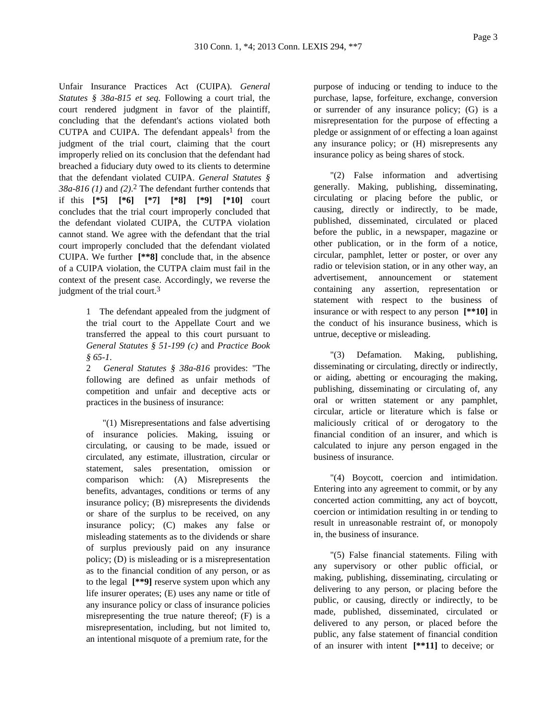Unfair Insurance Practices Act (CUIPA). *General Statutes § 38a-815 et seq.* Following a court trial, the court rendered judgment in favor of the plaintiff, concluding that the defendant's actions violated both CUTPA and CUIPA. The defendant appeals<sup>1</sup> from the judgment of the trial court, claiming that the court improperly relied on its conclusion that the defendant had breached a fiduciary duty owed to its clients to determine that the defendant violated CUIPA. *General Statutes § 38a-816 (1)* and *(2)*. 2 The defendant further contends that if this **[\*5] [\*6] [\*7] [\*8] [\*9] [\*10]** court concludes that the trial court improperly concluded that the defendant violated CUIPA, the CUTPA violation cannot stand. We agree with the defendant that the trial court improperly concluded that the defendant violated CUIPA. We further **[\*\*8]** conclude that, in the absence of a CUIPA violation, the CUTPA claim must fail in the context of the present case. Accordingly, we reverse the judgment of the trial court.<sup>3</sup>

> 1 The defendant appealed from the judgment of the trial court to the Appellate Court and we transferred the appeal to this court pursuant to *General Statutes § 51-199 (c)* and *Practice Book § 65-1*.

> 2 *General Statutes § 38a-816* provides: "The following are defined as unfair methods of competition and unfair and deceptive acts or practices in the business of insurance:

"(1) Misrepresentations and false advertising of insurance policies. Making, issuing or circulating, or causing to be made, issued or circulated, any estimate, illustration, circular or statement, sales presentation, omission or comparison which: (A) Misrepresents the benefits, advantages, conditions or terms of any insurance policy; (B) misrepresents the dividends or share of the surplus to be received, on any insurance policy; (C) makes any false or misleading statements as to the dividends or share of surplus previously paid on any insurance policy; (D) is misleading or is a misrepresentation as to the financial condition of any person, or as to the legal **[\*\*9]** reserve system upon which any life insurer operates; (E) uses any name or title of any insurance policy or class of insurance policies misrepresenting the true nature thereof; (F) is a misrepresentation, including, but not limited to, an intentional misquote of a premium rate, for the

purpose of inducing or tending to induce to the purchase, lapse, forfeiture, exchange, conversion or surrender of any insurance policy; (G) is a misrepresentation for the purpose of effecting a pledge or assignment of or effecting a loan against any insurance policy; or (H) misrepresents any insurance policy as being shares of stock.

"(2) False information and advertising generally. Making, publishing, disseminating, circulating or placing before the public, or causing, directly or indirectly, to be made, published, disseminated, circulated or placed before the public, in a newspaper, magazine or other publication, or in the form of a notice, circular, pamphlet, letter or poster, or over any radio or television station, or in any other way, an advertisement, announcement or statement containing any assertion, representation or statement with respect to the business of insurance or with respect to any person **[\*\*10]** in the conduct of his insurance business, which is untrue, deceptive or misleading.

"(3) Defamation. Making, publishing, disseminating or circulating, directly or indirectly, or aiding, abetting or encouraging the making, publishing, disseminating or circulating of, any oral or written statement or any pamphlet, circular, article or literature which is false or maliciously critical of or derogatory to the financial condition of an insurer, and which is calculated to injure any person engaged in the business of insurance.

"(4) Boycott, coercion and intimidation. Entering into any agreement to commit, or by any concerted action committing, any act of boycott, coercion or intimidation resulting in or tending to result in unreasonable restraint of, or monopoly in, the business of insurance.

"(5) False financial statements. Filing with any supervisory or other public official, or making, publishing, disseminating, circulating or delivering to any person, or placing before the public, or causing, directly or indirectly, to be made, published, disseminated, circulated or delivered to any person, or placed before the public, any false statement of financial condition of an insurer with intent **[\*\*11]** to deceive; or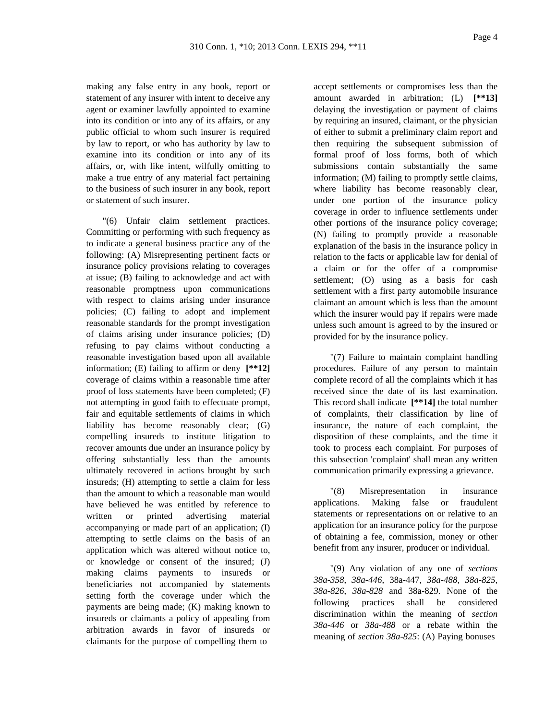making any false entry in any book, report or statement of any insurer with intent to deceive any agent or examiner lawfully appointed to examine into its condition or into any of its affairs, or any public official to whom such insurer is required by law to report, or who has authority by law to examine into its condition or into any of its affairs, or, with like intent, wilfully omitting to make a true entry of any material fact pertaining to the business of such insurer in any book, report or statement of such insurer.

"(6) Unfair claim settlement practices. Committing or performing with such frequency as to indicate a general business practice any of the following: (A) Misrepresenting pertinent facts or insurance policy provisions relating to coverages at issue; (B) failing to acknowledge and act with reasonable promptness upon communications with respect to claims arising under insurance policies; (C) failing to adopt and implement reasonable standards for the prompt investigation of claims arising under insurance policies; (D) refusing to pay claims without conducting a reasonable investigation based upon all available information; (E) failing to affirm or deny **[\*\*12]** coverage of claims within a reasonable time after proof of loss statements have been completed; (F) not attempting in good faith to effectuate prompt, fair and equitable settlements of claims in which liability has become reasonably clear; (G) compelling insureds to institute litigation to recover amounts due under an insurance policy by offering substantially less than the amounts ultimately recovered in actions brought by such insureds; (H) attempting to settle a claim for less than the amount to which a reasonable man would have believed he was entitled by reference to written or printed advertising material accompanying or made part of an application; (I) attempting to settle claims on the basis of an application which was altered without notice to, or knowledge or consent of the insured; (J) making claims payments to insureds or beneficiaries not accompanied by statements setting forth the coverage under which the payments are being made; (K) making known to insureds or claimants a policy of appealing from arbitration awards in favor of insureds or claimants for the purpose of compelling them to

accept settlements or compromises less than the amount awarded in arbitration; (L) **[\*\*13]** delaying the investigation or payment of claims by requiring an insured, claimant, or the physician of either to submit a preliminary claim report and then requiring the subsequent submission of formal proof of loss forms, both of which submissions contain substantially the same information; (M) failing to promptly settle claims, where liability has become reasonably clear, under one portion of the insurance policy coverage in order to influence settlements under other portions of the insurance policy coverage; (N) failing to promptly provide a reasonable explanation of the basis in the insurance policy in relation to the facts or applicable law for denial of a claim or for the offer of a compromise settlement; (O) using as a basis for cash settlement with a first party automobile insurance claimant an amount which is less than the amount which the insurer would pay if repairs were made unless such amount is agreed to by the insured or provided for by the insurance policy.

"(7) Failure to maintain complaint handling procedures. Failure of any person to maintain complete record of all the complaints which it has received since the date of its last examination. This record shall indicate **[\*\*14]** the total number of complaints, their classification by line of insurance, the nature of each complaint, the disposition of these complaints, and the time it took to process each complaint. For purposes of this subsection 'complaint' shall mean any written communication primarily expressing a grievance.

"(8) Misrepresentation in insurance applications. Making false or fraudulent statements or representations on or relative to an application for an insurance policy for the purpose of obtaining a fee, commission, money or other benefit from any insurer, producer or individual.

"(9) Any violation of any one of *sections 38a-358*, *38a-446*, 38a-447, *38a-488*, *38a-825*, *38a-826*, *38a-828* and 38a-829. None of the following practices shall be considered discrimination within the meaning of *section 38a-446* or *38a-488* or a rebate within the meaning of *section 38a-825*: (A) Paying bonuses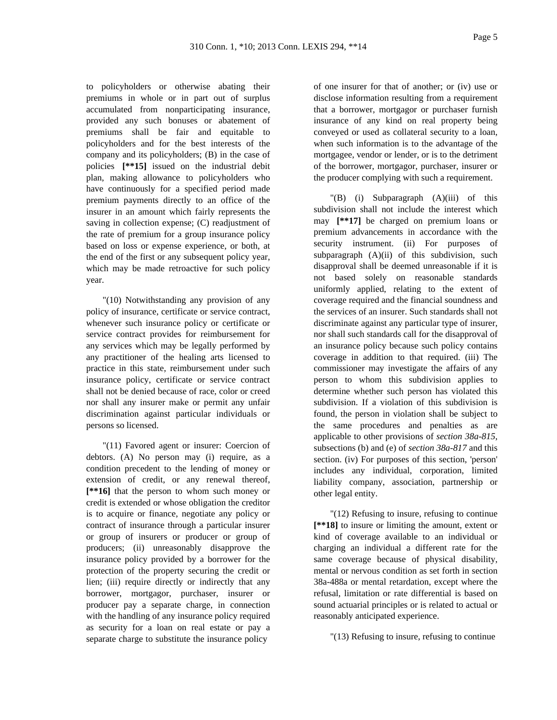to policyholders or otherwise abating their premiums in whole or in part out of surplus accumulated from nonparticipating insurance, provided any such bonuses or abatement of premiums shall be fair and equitable to policyholders and for the best interests of the company and its policyholders; (B) in the case of policies **[\*\*15]** issued on the industrial debit plan, making allowance to policyholders who have continuously for a specified period made premium payments directly to an office of the insurer in an amount which fairly represents the saving in collection expense; (C) readjustment of the rate of premium for a group insurance policy based on loss or expense experience, or both, at the end of the first or any subsequent policy year, which may be made retroactive for such policy year.

"(10) Notwithstanding any provision of any policy of insurance, certificate or service contract, whenever such insurance policy or certificate or service contract provides for reimbursement for any services which may be legally performed by any practitioner of the healing arts licensed to practice in this state, reimbursement under such insurance policy, certificate or service contract shall not be denied because of race, color or creed nor shall any insurer make or permit any unfair discrimination against particular individuals or persons so licensed.

"(11) Favored agent or insurer: Coercion of debtors. (A) No person may (i) require, as a condition precedent to the lending of money or extension of credit, or any renewal thereof, **[\*\*16]** that the person to whom such money or credit is extended or whose obligation the creditor is to acquire or finance, negotiate any policy or contract of insurance through a particular insurer or group of insurers or producer or group of producers; (ii) unreasonably disapprove the insurance policy provided by a borrower for the protection of the property securing the credit or lien; (iii) require directly or indirectly that any borrower, mortgagor, purchaser, insurer or producer pay a separate charge, in connection with the handling of any insurance policy required as security for a loan on real estate or pay a separate charge to substitute the insurance policy

of one insurer for that of another; or (iv) use or disclose information resulting from a requirement that a borrower, mortgagor or purchaser furnish insurance of any kind on real property being conveyed or used as collateral security to a loan, when such information is to the advantage of the mortgagee, vendor or lender, or is to the detriment of the borrower, mortgagor, purchaser, insurer or the producer complying with such a requirement.

"(B) (i) Subparagraph (A)(iii) of this subdivision shall not include the interest which may **[\*\*17]** be charged on premium loans or premium advancements in accordance with the security instrument. (ii) For purposes of subparagraph (A)(ii) of this subdivision, such disapproval shall be deemed unreasonable if it is not based solely on reasonable standards uniformly applied, relating to the extent of coverage required and the financial soundness and the services of an insurer. Such standards shall not discriminate against any particular type of insurer, nor shall such standards call for the disapproval of an insurance policy because such policy contains coverage in addition to that required. (iii) The commissioner may investigate the affairs of any person to whom this subdivision applies to determine whether such person has violated this subdivision. If a violation of this subdivision is found, the person in violation shall be subject to the same procedures and penalties as are applicable to other provisions of *section 38a-815*, subsections (b) and (e) of *section 38a-817* and this section. (iv) For purposes of this section, 'person' includes any individual, corporation, limited liability company, association, partnership or other legal entity.

"(12) Refusing to insure, refusing to continue **[\*\*18]** to insure or limiting the amount, extent or kind of coverage available to an individual or charging an individual a different rate for the same coverage because of physical disability, mental or nervous condition as set forth in section 38a-488a or mental retardation, except where the refusal, limitation or rate differential is based on sound actuarial principles or is related to actual or reasonably anticipated experience.

"(13) Refusing to insure, refusing to continue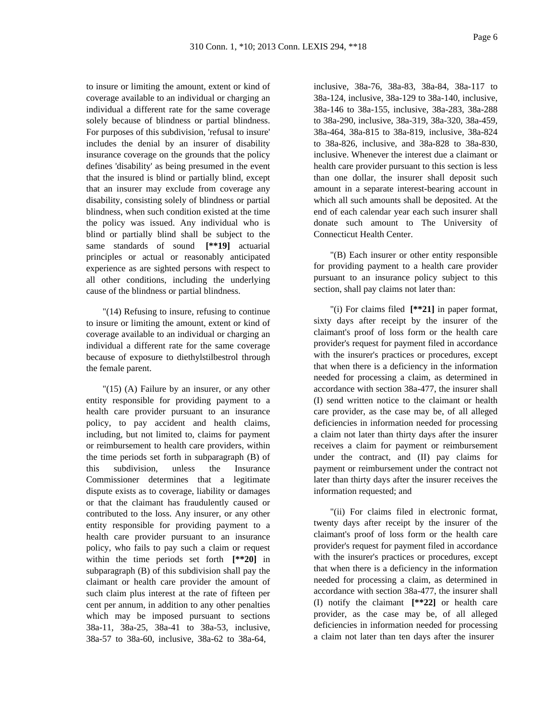to insure or limiting the amount, extent or kind of coverage available to an individual or charging an individual a different rate for the same coverage solely because of blindness or partial blindness. For purposes of this subdivision, 'refusal to insure' includes the denial by an insurer of disability insurance coverage on the grounds that the policy defines 'disability' as being presumed in the event that the insured is blind or partially blind, except that an insurer may exclude from coverage any disability, consisting solely of blindness or partial blindness, when such condition existed at the time the policy was issued. Any individual who is blind or partially blind shall be subject to the same standards of sound **[\*\*19]** actuarial principles or actual or reasonably anticipated experience as are sighted persons with respect to all other conditions, including the underlying cause of the blindness or partial blindness.

"(14) Refusing to insure, refusing to continue to insure or limiting the amount, extent or kind of coverage available to an individual or charging an individual a different rate for the same coverage because of exposure to diethylstilbestrol through the female parent.

"(15) (A) Failure by an insurer, or any other entity responsible for providing payment to a health care provider pursuant to an insurance policy, to pay accident and health claims, including, but not limited to, claims for payment or reimbursement to health care providers, within the time periods set forth in subparagraph (B) of this subdivision, unless the Insurance Commissioner determines that a legitimate dispute exists as to coverage, liability or damages or that the claimant has fraudulently caused or contributed to the loss. Any insurer, or any other entity responsible for providing payment to a health care provider pursuant to an insurance policy, who fails to pay such a claim or request within the time periods set forth **[\*\*20]** in subparagraph (B) of this subdivision shall pay the claimant or health care provider the amount of such claim plus interest at the rate of fifteen per cent per annum, in addition to any other penalties which may be imposed pursuant to sections 38a-11, 38a-25, 38a-41 to 38a-53, inclusive, 38a-57 to 38a-60, inclusive, 38a-62 to 38a-64,

inclusive, 38a-76, 38a-83, 38a-84, 38a-117 to 38a-124, inclusive, 38a-129 to 38a-140, inclusive, 38a-146 to 38a-155, inclusive, 38a-283, 38a-288 to 38a-290, inclusive, 38a-319, 38a-320, 38a-459, 38a-464, 38a-815 to 38a-819, inclusive, 38a-824 to 38a-826, inclusive, and 38a-828 to 38a-830, inclusive. Whenever the interest due a claimant or health care provider pursuant to this section is less than one dollar, the insurer shall deposit such amount in a separate interest-bearing account in which all such amounts shall be deposited. At the end of each calendar year each such insurer shall donate such amount to The University of Connecticut Health Center.

"(B) Each insurer or other entity responsible for providing payment to a health care provider pursuant to an insurance policy subject to this section, shall pay claims not later than:

"(i) For claims filed **[\*\*21]** in paper format, sixty days after receipt by the insurer of the claimant's proof of loss form or the health care provider's request for payment filed in accordance with the insurer's practices or procedures, except that when there is a deficiency in the information needed for processing a claim, as determined in accordance with section 38a-477, the insurer shall (I) send written notice to the claimant or health care provider, as the case may be, of all alleged deficiencies in information needed for processing a claim not later than thirty days after the insurer receives a claim for payment or reimbursement under the contract, and (II) pay claims for payment or reimbursement under the contract not later than thirty days after the insurer receives the information requested; and

"(ii) For claims filed in electronic format, twenty days after receipt by the insurer of the claimant's proof of loss form or the health care provider's request for payment filed in accordance with the insurer's practices or procedures, except that when there is a deficiency in the information needed for processing a claim, as determined in accordance with section 38a-477, the insurer shall (I) notify the claimant **[\*\*22]** or health care provider, as the case may be, of all alleged deficiencies in information needed for processing a claim not later than ten days after the insurer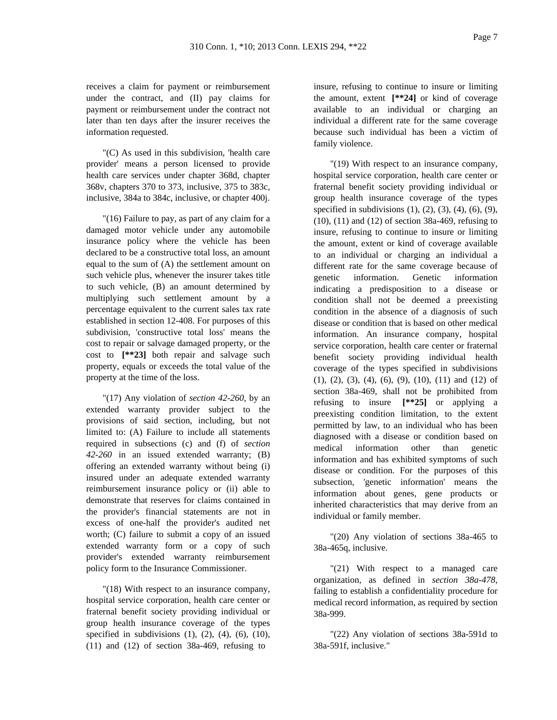receives a claim for payment or reimbursement under the contract, and (II) pay claims for payment or reimbursement under the contract not later than ten days after the insurer receives the information requested.

"(C) As used in this subdivision, 'health care provider' means a person licensed to provide health care services under chapter 368d, chapter 368v, chapters 370 to 373, inclusive, 375 to 383c, inclusive, 384a to 384c, inclusive, or chapter 400j.

"(16) Failure to pay, as part of any claim for a damaged motor vehicle under any automobile insurance policy where the vehicle has been declared to be a constructive total loss, an amount equal to the sum of (A) the settlement amount on such vehicle plus, whenever the insurer takes title to such vehicle, (B) an amount determined by multiplying such settlement amount by a percentage equivalent to the current sales tax rate established in section 12-408. For purposes of this subdivision, 'constructive total loss' means the cost to repair or salvage damaged property, or the cost to **[\*\*23]** both repair and salvage such property, equals or exceeds the total value of the property at the time of the loss.

"(17) Any violation of *section 42-260*, by an extended warranty provider subject to the provisions of said section, including, but not limited to: (A) Failure to include all statements required in subsections (c) and (f) of *section 42-260* in an issued extended warranty; (B) offering an extended warranty without being (i) insured under an adequate extended warranty reimbursement insurance policy or (ii) able to demonstrate that reserves for claims contained in the provider's financial statements are not in excess of one-half the provider's audited net worth; (C) failure to submit a copy of an issued extended warranty form or a copy of such provider's extended warranty reimbursement policy form to the Insurance Commissioner.

"(18) With respect to an insurance company, hospital service corporation, health care center or fraternal benefit society providing individual or group health insurance coverage of the types specified in subdivisions  $(1)$ ,  $(2)$ ,  $(4)$ ,  $(6)$ ,  $(10)$ , (11) and (12) of section 38a-469, refusing to

insure, refusing to continue to insure or limiting the amount, extent **[\*\*24]** or kind of coverage available to an individual or charging an individual a different rate for the same coverage because such individual has been a victim of family violence.

"(19) With respect to an insurance company, hospital service corporation, health care center or fraternal benefit society providing individual or group health insurance coverage of the types specified in subdivisions  $(1)$ ,  $(2)$ ,  $(3)$ ,  $(4)$ ,  $(6)$ ,  $(9)$ , (10), (11) and (12) of section 38a-469, refusing to insure, refusing to continue to insure or limiting the amount, extent or kind of coverage available to an individual or charging an individual a different rate for the same coverage because of genetic information. Genetic information indicating a predisposition to a disease or condition shall not be deemed a preexisting condition in the absence of a diagnosis of such disease or condition that is based on other medical information. An insurance company, hospital service corporation, health care center or fraternal benefit society providing individual health coverage of the types specified in subdivisions (1), (2), (3), (4), (6), (9), (10), (11) and (12) of section 38a-469, shall not be prohibited from refusing to insure **[\*\*25]** or applying a preexisting condition limitation, to the extent permitted by law, to an individual who has been diagnosed with a disease or condition based on medical information other than genetic information and has exhibited symptoms of such disease or condition. For the purposes of this subsection, 'genetic information' means the information about genes, gene products or inherited characteristics that may derive from an individual or family member.

"(20) Any violation of sections 38a-465 to 38a-465q, inclusive.

"(21) With respect to a managed care organization, as defined in *section 38a-478*, failing to establish a confidentiality procedure for medical record information, as required by section 38a-999.

"(22) Any violation of sections 38a-591d to 38a-591f, inclusive."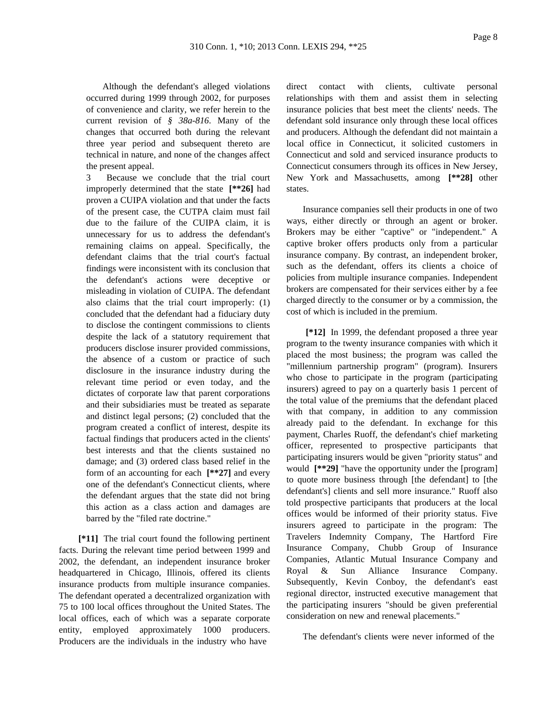Although the defendant's alleged violations occurred during 1999 through 2002, for purposes of convenience and clarity, we refer herein to the current revision of *§ 38a-816*. Many of the changes that occurred both during the relevant three year period and subsequent thereto are technical in nature, and none of the changes affect the present appeal.

3 Because we conclude that the trial court improperly determined that the state **[\*\*26]** had proven a CUIPA violation and that under the facts of the present case, the CUTPA claim must fail due to the failure of the CUIPA claim, it is unnecessary for us to address the defendant's remaining claims on appeal. Specifically, the defendant claims that the trial court's factual findings were inconsistent with its conclusion that the defendant's actions were deceptive or misleading in violation of CUIPA. The defendant also claims that the trial court improperly: (1) concluded that the defendant had a fiduciary duty to disclose the contingent commissions to clients despite the lack of a statutory requirement that producers disclose insurer provided commissions, the absence of a custom or practice of such disclosure in the insurance industry during the relevant time period or even today, and the dictates of corporate law that parent corporations and their subsidiaries must be treated as separate and distinct legal persons; (2) concluded that the program created a conflict of interest, despite its factual findings that producers acted in the clients' best interests and that the clients sustained no damage; and (3) ordered class based relief in the form of an accounting for each **[\*\*27]** and every one of the defendant's Connecticut clients, where the defendant argues that the state did not bring this action as a class action and damages are barred by the "filed rate doctrine."

**[\*11]** The trial court found the following pertinent facts. During the relevant time period between 1999 and 2002, the defendant, an independent insurance broker headquartered in Chicago, Illinois, offered its clients insurance products from multiple insurance companies. The defendant operated a decentralized organization with 75 to 100 local offices throughout the United States. The local offices, each of which was a separate corporate entity, employed approximately 1000 producers. Producers are the individuals in the industry who have

direct contact with clients, cultivate personal relationships with them and assist them in selecting insurance policies that best meet the clients' needs. The defendant sold insurance only through these local offices and producers. Although the defendant did not maintain a local office in Connecticut, it solicited customers in Connecticut and sold and serviced insurance products to Connecticut consumers through its offices in New Jersey, New York and Massachusetts, among **[\*\*28]** other states.

Insurance companies sell their products in one of two ways, either directly or through an agent or broker. Brokers may be either "captive" or "independent." A captive broker offers products only from a particular insurance company. By contrast, an independent broker, such as the defendant, offers its clients a choice of policies from multiple insurance companies. Independent brokers are compensated for their services either by a fee charged directly to the consumer or by a commission, the cost of which is included in the premium.

**[\*12]** In 1999, the defendant proposed a three year program to the twenty insurance companies with which it placed the most business; the program was called the "millennium partnership program" (program). Insurers who chose to participate in the program (participating insurers) agreed to pay on a quarterly basis 1 percent of the total value of the premiums that the defendant placed with that company, in addition to any commission already paid to the defendant. In exchange for this payment, Charles Ruoff, the defendant's chief marketing officer, represented to prospective participants that participating insurers would be given "priority status" and would **[\*\*29]** "have the opportunity under the [program] to quote more business through [the defendant] to [the defendant's] clients and sell more insurance." Ruoff also told prospective participants that producers at the local offices would be informed of their priority status. Five insurers agreed to participate in the program: The Travelers Indemnity Company, The Hartford Fire Insurance Company, Chubb Group of Insurance Companies, Atlantic Mutual Insurance Company and Royal & Sun Alliance Insurance Company. Subsequently, Kevin Conboy, the defendant's east regional director, instructed executive management that the participating insurers "should be given preferential consideration on new and renewal placements."

The defendant's clients were never informed of the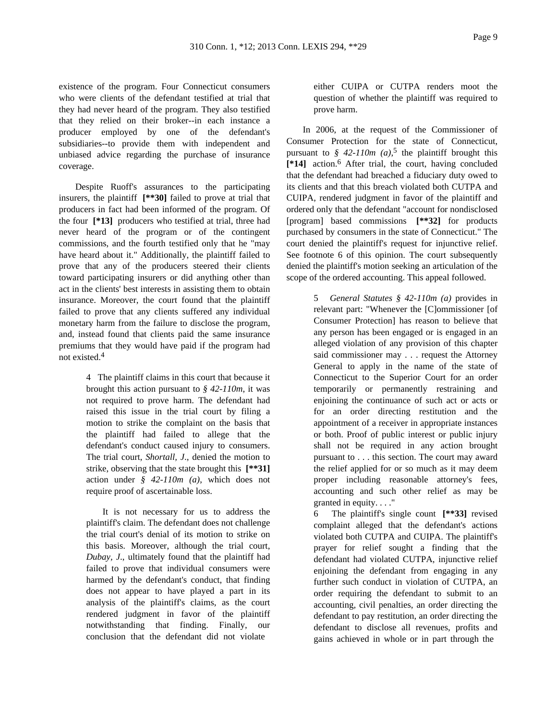existence of the program. Four Connecticut consumers who were clients of the defendant testified at trial that they had never heard of the program. They also testified that they relied on their broker--in each instance a producer employed by one of the defendant's subsidiaries--to provide them with independent and unbiased advice regarding the purchase of insurance coverage.

Despite Ruoff's assurances to the participating insurers, the plaintiff **[\*\*30]** failed to prove at trial that producers in fact had been informed of the program. Of the four **[\*13]** producers who testified at trial, three had never heard of the program or of the contingent commissions, and the fourth testified only that he "may have heard about it." Additionally, the plaintiff failed to prove that any of the producers steered their clients toward participating insurers or did anything other than act in the clients' best interests in assisting them to obtain insurance. Moreover, the court found that the plaintiff failed to prove that any clients suffered any individual monetary harm from the failure to disclose the program, and, instead found that clients paid the same insurance premiums that they would have paid if the program had not existed.4

> 4 The plaintiff claims in this court that because it brought this action pursuant to *§ 42-110m*, it was not required to prove harm. The defendant had raised this issue in the trial court by filing a motion to strike the complaint on the basis that the plaintiff had failed to allege that the defendant's conduct caused injury to consumers. The trial court, *Shortall, J*., denied the motion to strike, observing that the state brought this **[\*\*31]** action under *§ 42-110m (a)*, which does not require proof of ascertainable loss.

> It is not necessary for us to address the plaintiff's claim. The defendant does not challenge the trial court's denial of its motion to strike on this basis. Moreover, although the trial court, *Dubay, J*., ultimately found that the plaintiff had failed to prove that individual consumers were harmed by the defendant's conduct, that finding does not appear to have played a part in its analysis of the plaintiff's claims, as the court rendered judgment in favor of the plaintiff notwithstanding that finding. Finally, our conclusion that the defendant did not violate

either CUIPA or CUTPA renders moot the question of whether the plaintiff was required to prove harm.

In 2006, at the request of the Commissioner of Consumer Protection for the state of Connecticut, pursuant to  $\frac{2}{3}$  42-110m (a),<sup>5</sup> the plaintiff brought this **[\*14]** action.6 After trial, the court, having concluded that the defendant had breached a fiduciary duty owed to its clients and that this breach violated both CUTPA and CUIPA, rendered judgment in favor of the plaintiff and ordered only that the defendant "account for nondisclosed [program] based commissions **[\*\*32]** for products purchased by consumers in the state of Connecticut." The court denied the plaintiff's request for injunctive relief. See footnote 6 of this opinion. The court subsequently denied the plaintiff's motion seeking an articulation of the scope of the ordered accounting. This appeal followed.

> 5 *General Statutes § 42-110m (a)* provides in relevant part: "Whenever the [C]ommissioner [of Consumer Protection] has reason to believe that any person has been engaged or is engaged in an alleged violation of any provision of this chapter said commissioner may . . . request the Attorney General to apply in the name of the state of Connecticut to the Superior Court for an order temporarily or permanently restraining and enjoining the continuance of such act or acts or for an order directing restitution and the appointment of a receiver in appropriate instances or both. Proof of public interest or public injury shall not be required in any action brought pursuant to . . . this section. The court may award the relief applied for or so much as it may deem proper including reasonable attorney's fees, accounting and such other relief as may be granted in equity. . . ."

> 6 The plaintiff's single count **[\*\*33]** revised complaint alleged that the defendant's actions violated both CUTPA and CUIPA. The plaintiff's prayer for relief sought a finding that the defendant had violated CUTPA, injunctive relief enjoining the defendant from engaging in any further such conduct in violation of CUTPA, an order requiring the defendant to submit to an accounting, civil penalties, an order directing the defendant to pay restitution, an order directing the defendant to disclose all revenues, profits and gains achieved in whole or in part through the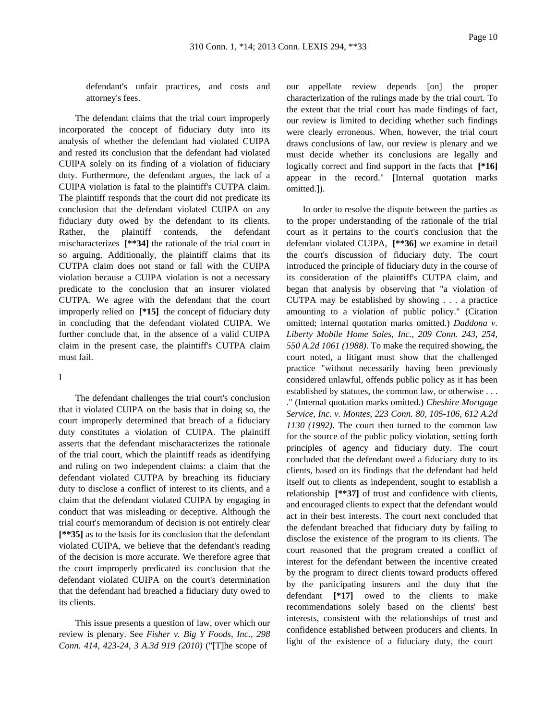defendant's unfair practices, and costs and attorney's fees.

The defendant claims that the trial court improperly incorporated the concept of fiduciary duty into its analysis of whether the defendant had violated CUIPA and rested its conclusion that the defendant had violated CUIPA solely on its finding of a violation of fiduciary duty. Furthermore, the defendant argues, the lack of a CUIPA violation is fatal to the plaintiff's CUTPA claim. The plaintiff responds that the court did not predicate its conclusion that the defendant violated CUIPA on any fiduciary duty owed by the defendant to its clients. Rather, the plaintiff contends, the defendant mischaracterizes **[\*\*34]** the rationale of the trial court in so arguing. Additionally, the plaintiff claims that its CUTPA claim does not stand or fall with the CUIPA violation because a CUIPA violation is not a necessary predicate to the conclusion that an insurer violated CUTPA. We agree with the defendant that the court improperly relied on **[\*15]** the concept of fiduciary duty in concluding that the defendant violated CUIPA. We further conclude that, in the absence of a valid CUIPA claim in the present case, the plaintiff's CUTPA claim must fail.

### I

The defendant challenges the trial court's conclusion that it violated CUIPA on the basis that in doing so, the court improperly determined that breach of a fiduciary duty constitutes a violation of CUIPA. The plaintiff asserts that the defendant mischaracterizes the rationale of the trial court, which the plaintiff reads as identifying and ruling on two independent claims: a claim that the defendant violated CUTPA by breaching its fiduciary duty to disclose a conflict of interest to its clients, and a claim that the defendant violated CUIPA by engaging in conduct that was misleading or deceptive. Although the trial court's memorandum of decision is not entirely clear **[\*\*35]** as to the basis for its conclusion that the defendant violated CUIPA, we believe that the defendant's reading of the decision is more accurate. We therefore agree that the court improperly predicated its conclusion that the defendant violated CUIPA on the court's determination that the defendant had breached a fiduciary duty owed to its clients.

This issue presents a question of law, over which our review is plenary. See *Fisher v. Big Y Foods, Inc., 298 Conn. 414, 423-24, 3 A.3d 919 (2010)* ("[T]he scope of

our appellate review depends [on] the proper characterization of the rulings made by the trial court. To the extent that the trial court has made findings of fact, our review is limited to deciding whether such findings were clearly erroneous. When, however, the trial court draws conclusions of law, our review is plenary and we must decide whether its conclusions are legally and logically correct and find support in the facts that **[\*16]** appear in the record." [Internal quotation marks omitted.]).

In order to resolve the dispute between the parties as to the proper understanding of the rationale of the trial court as it pertains to the court's conclusion that the defendant violated CUIPA, **[\*\*36]** we examine in detail the court's discussion of fiduciary duty. The court introduced the principle of fiduciary duty in the course of its consideration of the plaintiff's CUTPA claim, and began that analysis by observing that "a violation of CUTPA may be established by showing . . . a practice amounting to a violation of public policy." (Citation omitted; internal quotation marks omitted.) *Daddona v. Liberty Mobile Home Sales, Inc., 209 Conn. 243, 254, 550 A.2d 1061 (1988)*. To make the required showing, the court noted, a litigant must show that the challenged practice "without necessarily having been previously considered unlawful, offends public policy as it has been established by statutes, the common law, or otherwise . . . ." (Internal quotation marks omitted.) *Cheshire Mortgage Service, Inc. v. Montes, 223 Conn. 80, 105-106, 612 A.2d 1130 (1992)*. The court then turned to the common law for the source of the public policy violation, setting forth principles of agency and fiduciary duty. The court concluded that the defendant owed a fiduciary duty to its clients, based on its findings that the defendant had held itself out to clients as independent, sought to establish a relationship **[\*\*37]** of trust and confidence with clients, and encouraged clients to expect that the defendant would act in their best interests. The court next concluded that the defendant breached that fiduciary duty by failing to disclose the existence of the program to its clients. The court reasoned that the program created a conflict of interest for the defendant between the incentive created by the program to direct clients toward products offered by the participating insurers and the duty that the defendant **[\*17]** owed to the clients to make recommendations solely based on the clients' best interests, consistent with the relationships of trust and confidence established between producers and clients. In light of the existence of a fiduciary duty, the court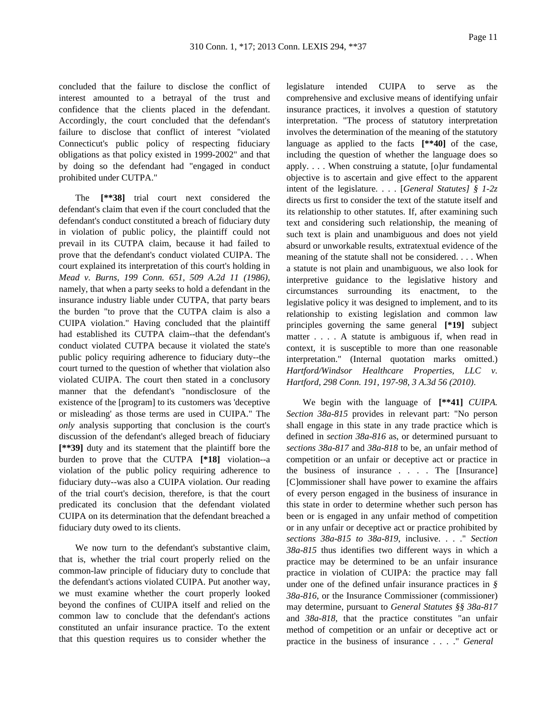concluded that the failure to disclose the conflict of interest amounted to a betrayal of the trust and confidence that the clients placed in the defendant. Accordingly, the court concluded that the defendant's failure to disclose that conflict of interest "violated Connecticut's public policy of respecting fiduciary obligations as that policy existed in 1999-2002" and that by doing so the defendant had "engaged in conduct prohibited under CUTPA."

The **[\*\*38]** trial court next considered the defendant's claim that even if the court concluded that the defendant's conduct constituted a breach of fiduciary duty in violation of public policy, the plaintiff could not prevail in its CUTPA claim, because it had failed to prove that the defendant's conduct violated CUIPA. The court explained its interpretation of this court's holding in *Mead v. Burns, 199 Conn. 651, 509 A.2d 11 (1986)*, namely, that when a party seeks to hold a defendant in the insurance industry liable under CUTPA, that party bears the burden "to prove that the CUTPA claim is also a CUIPA violation." Having concluded that the plaintiff had established its CUTPA claim--that the defendant's conduct violated CUTPA because it violated the state's public policy requiring adherence to fiduciary duty--the court turned to the question of whether that violation also violated CUIPA. The court then stated in a conclusory manner that the defendant's "nondisclosure of the existence of the [program] to its customers was 'deceptive or misleading' as those terms are used in CUIPA." The *only* analysis supporting that conclusion is the court's discussion of the defendant's alleged breach of fiduciary **[\*\*39]** duty and its statement that the plaintiff bore the burden to prove that the CUTPA **[\*18]** violation--a violation of the public policy requiring adherence to fiduciary duty--was also a CUIPA violation. Our reading of the trial court's decision, therefore, is that the court predicated its conclusion that the defendant violated CUIPA on its determination that the defendant breached a fiduciary duty owed to its clients.

We now turn to the defendant's substantive claim, that is, whether the trial court properly relied on the common-law principle of fiduciary duty to conclude that the defendant's actions violated CUIPA. Put another way, we must examine whether the court properly looked beyond the confines of CUIPA itself and relied on the common law to conclude that the defendant's actions constituted an unfair insurance practice. To the extent that this question requires us to consider whether the

legislature intended CUIPA to serve as the comprehensive and exclusive means of identifying unfair insurance practices, it involves a question of statutory interpretation. "The process of statutory interpretation involves the determination of the meaning of the statutory language as applied to the facts **[\*\*40]** of the case, including the question of whether the language does so apply. . . . When construing a statute, [o]ur fundamental objective is to ascertain and give effect to the apparent intent of the legislature. . . . [*General Statutes] § 1-2z* directs us first to consider the text of the statute itself and its relationship to other statutes. If, after examining such text and considering such relationship, the meaning of such text is plain and unambiguous and does not yield absurd or unworkable results, extratextual evidence of the meaning of the statute shall not be considered. . . . When a statute is not plain and unambiguous, we also look for interpretive guidance to the legislative history and circumstances surrounding its enactment, to the legislative policy it was designed to implement, and to its relationship to existing legislation and common law principles governing the same general **[\*19]** subject matter . . . . A statute is ambiguous if, when read in context, it is susceptible to more than one reasonable interpretation." (Internal quotation marks omitted.) *Hartford/Windsor Healthcare Properties, LLC v. Hartford, 298 Conn. 191, 197-98, 3 A.3d 56 (2010)*.

We begin with the language of **[\*\*41]** *CUIPA. Section 38a-815* provides in relevant part: "No person shall engage in this state in any trade practice which is defined in *section 38a-816* as, or determined pursuant to *sections 38a-817* and *38a-818* to be, an unfair method of competition or an unfair or deceptive act or practice in the business of insurance . . . . The [Insurance] [C]ommissioner shall have power to examine the affairs of every person engaged in the business of insurance in this state in order to determine whether such person has been or is engaged in any unfair method of competition or in any unfair or deceptive act or practice prohibited by *sections 38a-815 to 38a-819*, inclusive. . . ." *Section 38a-815* thus identifies two different ways in which a practice may be determined to be an unfair insurance practice in violation of CUIPA: the practice may fall under one of the defined unfair insurance practices in *§ 38a-816*, or the Insurance Commissioner (commissioner) may determine, pursuant to *General Statutes §§ 38a-817* and *38a-818*, that the practice constitutes "an unfair method of competition or an unfair or deceptive act or practice in the business of insurance . . . ." *General*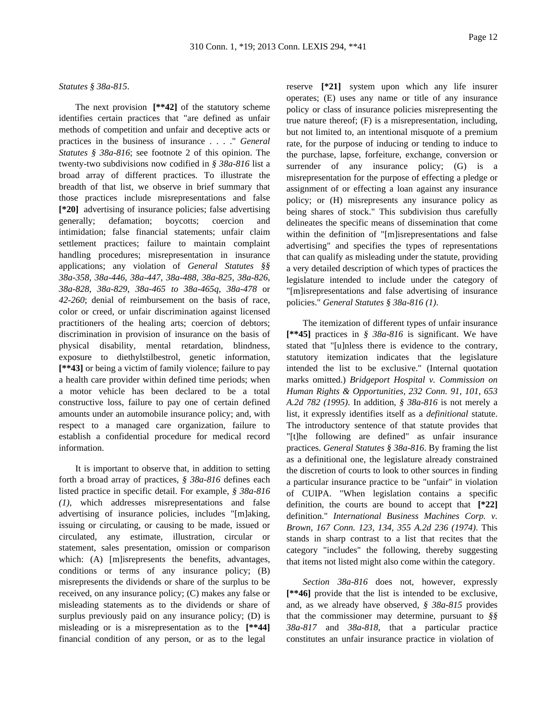*Statutes § 38a-815*.

The next provision **[\*\*42]** of the statutory scheme identifies certain practices that "are defined as unfair methods of competition and unfair and deceptive acts or practices in the business of insurance . . . ." *General Statutes § 38a-816*; see footnote 2 of this opinion. The twenty-two subdivisions now codified in *§ 38a-816* list a broad array of different practices. To illustrate the breadth of that list, we observe in brief summary that those practices include misrepresentations and false **[\*20]** advertising of insurance policies; false advertising generally; defamation; boycotts; coercion and intimidation; false financial statements; unfair claim settlement practices; failure to maintain complaint handling procedures; misrepresentation in insurance applications; any violation of *General Statutes §§ 38a-358*, *38a-446*, *38a-447*, *38a-488*, *38a-825*, *38a-826*, *38a-828*, *38a-829*, *38a-465 to 38a-465q*, *38a-478* or *42-260*; denial of reimbursement on the basis of race, color or creed, or unfair discrimination against licensed practitioners of the healing arts; coercion of debtors; discrimination in provision of insurance on the basis of physical disability, mental retardation, blindness, exposure to diethylstilbestrol, genetic information, **[\*\*43]** or being a victim of family violence; failure to pay a health care provider within defined time periods; when a motor vehicle has been declared to be a total constructive loss, failure to pay one of certain defined amounts under an automobile insurance policy; and, with respect to a managed care organization, failure to establish a confidential procedure for medical record information.

It is important to observe that, in addition to setting forth a broad array of practices, *§ 38a-816* defines each listed practice in specific detail. For example, *§ 38a-816 (1)*, which addresses misrepresentations and false advertising of insurance policies, includes "[m]aking, issuing or circulating, or causing to be made, issued or circulated, any estimate, illustration, circular or statement, sales presentation, omission or comparison which: (A) [m]isrepresents the benefits, advantages, conditions or terms of any insurance policy; (B) misrepresents the dividends or share of the surplus to be received, on any insurance policy; (C) makes any false or misleading statements as to the dividends or share of surplus previously paid on any insurance policy; (D) is misleading or is a misrepresentation as to the **[\*\*44]** financial condition of any person, or as to the legal

reserve **[\*21]** system upon which any life insurer operates; (E) uses any name or title of any insurance policy or class of insurance policies misrepresenting the true nature thereof; (F) is a misrepresentation, including, but not limited to, an intentional misquote of a premium rate, for the purpose of inducing or tending to induce to the purchase, lapse, forfeiture, exchange, conversion or surrender of any insurance policy; (G) is a misrepresentation for the purpose of effecting a pledge or assignment of or effecting a loan against any insurance policy; or (H) misrepresents any insurance policy as being shares of stock." This subdivision thus carefully delineates the specific means of dissemination that come within the definition of "[m]isrepresentations and false advertising" and specifies the types of representations that can qualify as misleading under the statute, providing a very detailed description of which types of practices the legislature intended to include under the category of "[m]isrepresentations and false advertising of insurance policies." *General Statutes § 38a-816 (1)*.

The itemization of different types of unfair insurance **[\*\*45]** practices in *§ 38a-816* is significant. We have stated that "[u]nless there is evidence to the contrary, statutory itemization indicates that the legislature intended the list to be exclusive." (Internal quotation marks omitted.) *Bridgeport Hospital v. Commission on Human Rights & Opportunities, 232 Conn. 91, 101, 653 A.2d 782 (1995)*. In addition, *§ 38a-816* is not merely a list, it expressly identifies itself as a *definitional* statute. The introductory sentence of that statute provides that "[t]he following are defined" as unfair insurance practices. *General Statutes § 38a-816*. By framing the list as a definitional one, the legislature already constrained the discretion of courts to look to other sources in finding a particular insurance practice to be "unfair" in violation of CUIPA. "When legislation contains a specific definition, the courts are bound to accept that **[\*22]** definition." *International Business Machines Corp. v. Brown, 167 Conn. 123, 134, 355 A.2d 236 (1974)*. This stands in sharp contrast to a list that recites that the category "includes" the following, thereby suggesting that items not listed might also come within the category.

*Section 38a-816* does not, however, expressly **[\*\*46]** provide that the list is intended to be exclusive, and, as we already have observed, *§ 38a-815* provides that the commissioner may determine, pursuant to *§§ 38a-817* and *38a-818*, that a particular practice constitutes an unfair insurance practice in violation of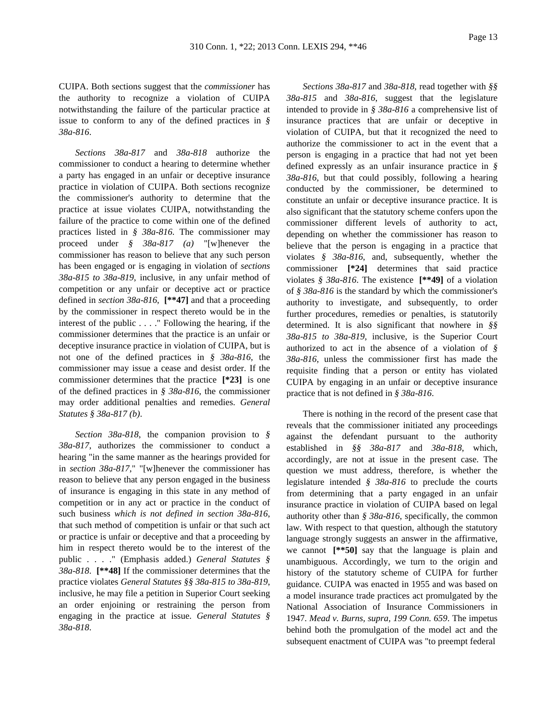CUIPA. Both sections suggest that the *commissioner* has the authority to recognize a violation of CUIPA notwithstanding the failure of the particular practice at issue to conform to any of the defined practices in *§ 38a-816*.

*Sections 38a-817* and *38a-818* authorize the commissioner to conduct a hearing to determine whether a party has engaged in an unfair or deceptive insurance practice in violation of CUIPA. Both sections recognize the commissioner's authority to determine that the practice at issue violates CUIPA, notwithstanding the failure of the practice to come within one of the defined practices listed in *§ 38a-816*. The commissioner may proceed under *§ 38a-817 (a)* "[w]henever the commissioner has reason to believe that any such person has been engaged or is engaging in violation of *sections 38a-815 to 38a-819*, inclusive, in any unfair method of competition or any unfair or deceptive act or practice defined in *section 38a-816*, **[\*\*47]** and that a proceeding by the commissioner in respect thereto would be in the interest of the public . . . ." Following the hearing, if the commissioner determines that the practice is an unfair or deceptive insurance practice in violation of CUIPA, but is not one of the defined practices in *§ 38a-816*, the commissioner may issue a cease and desist order. If the commissioner determines that the practice **[\*23]** is one of the defined practices in *§ 38a-816*, the commissioner may order additional penalties and remedies. *General Statutes § 38a-817 (b)*.

*Section 38a-818*, the companion provision to *§ 38a-817*, authorizes the commissioner to conduct a hearing "in the same manner as the hearings provided for in *section 38a-817*," "[w]henever the commissioner has reason to believe that any person engaged in the business of insurance is engaging in this state in any method of competition or in any act or practice in the conduct of such business *which is not defined in section 38a-816*, that such method of competition is unfair or that such act or practice is unfair or deceptive and that a proceeding by him in respect thereto would be to the interest of the public . . . ." (Emphasis added.) *General Statutes § 38a-818*. **[\*\*48]** If the commissioner determines that the practice violates *General Statutes §§ 38a-815 to 38a-819*, inclusive, he may file a petition in Superior Court seeking an order enjoining or restraining the person from engaging in the practice at issue. *General Statutes § 38a-818*.

*Sections 38a-817* and *38a-818*, read together with *§§ 38a-815* and *38a-816*, suggest that the legislature intended to provide in *§ 38a-816* a comprehensive list of insurance practices that are unfair or deceptive in violation of CUIPA, but that it recognized the need to authorize the commissioner to act in the event that a person is engaging in a practice that had not yet been defined expressly as an unfair insurance practice in *§ 38a-816*, but that could possibly, following a hearing conducted by the commissioner, be determined to constitute an unfair or deceptive insurance practice. It is also significant that the statutory scheme confers upon the commissioner different levels of authority to act, depending on whether the commissioner has reason to believe that the person is engaging in a practice that violates *§ 38a-816*, and, subsequently, whether the commissioner **[\*24]** determines that said practice violates *§ 38a-816*. The existence **[\*\*49]** of a violation of *§ 38a-816* is the standard by which the commissioner's authority to investigate, and subsequently, to order further procedures, remedies or penalties, is statutorily determined. It is also significant that nowhere in *§§ 38a-815 to 38a-819*, inclusive, is the Superior Court authorized to act in the absence of a violation of *§ 38a-816*, unless the commissioner first has made the requisite finding that a person or entity has violated CUIPA by engaging in an unfair or deceptive insurance practice that is not defined in *§ 38a-816*.

There is nothing in the record of the present case that reveals that the commissioner initiated any proceedings against the defendant pursuant to the authority established in *§§ 38a-817* and *38a-818*, which, accordingly, are not at issue in the present case. The question we must address, therefore, is whether the legislature intended *§ 38a-816* to preclude the courts from determining that a party engaged in an unfair insurance practice in violation of CUIPA based on legal authority other than *§ 38a-816*, specifically, the common law. With respect to that question, although the statutory language strongly suggests an answer in the affirmative, we cannot **[\*\*50]** say that the language is plain and unambiguous. Accordingly, we turn to the origin and history of the statutory scheme of CUIPA for further guidance. CUIPA was enacted in 1955 and was based on a model insurance trade practices act promulgated by the National Association of Insurance Commissioners in 1947. *Mead v. Burns, supra, 199 Conn. 659*. The impetus behind both the promulgation of the model act and the subsequent enactment of CUIPA was "to preempt federal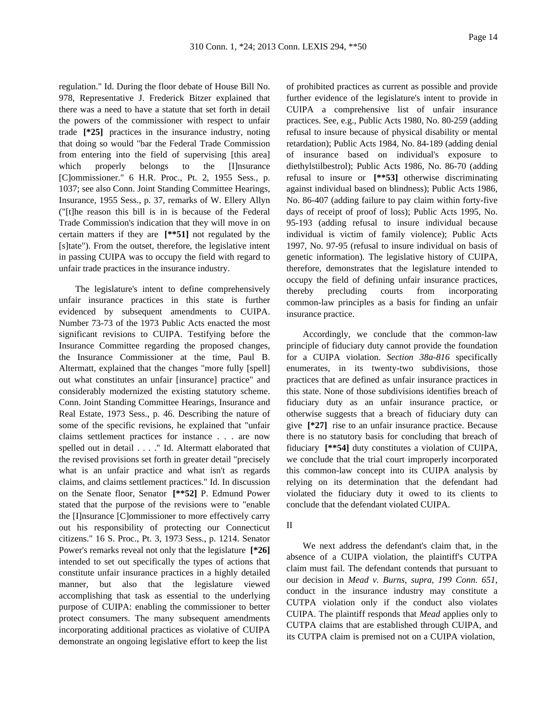regulation." Id. During the floor debate of House Bill No. 978, Representative J. Frederick Bitzer explained that there was a need to have a statute that set forth in detail the powers of the commissioner with respect to unfair trade **[\*25]** practices in the insurance industry, noting that doing so would "bar the Federal Trade Commission from entering into the field of supervising [this area] which properly belongs to the [I]nsurance [C]ommissioner." 6 H.R. Proc., Pt. 2, 1955 Sess., p. 1037; see also Conn. Joint Standing Committee Hearings, Insurance, 1955 Sess., p. 37, remarks of W. Ellery Allyn ("[t]he reason this bill is in is because of the Federal Trade Commission's indication that they will move in on certain matters if they are **[\*\*51]** not regulated by the [s]tate"). From the outset, therefore, the legislative intent in passing CUIPA was to occupy the field with regard to unfair trade practices in the insurance industry.

The legislature's intent to define comprehensively unfair insurance practices in this state is further evidenced by subsequent amendments to CUIPA. Number 73-73 of the 1973 Public Acts enacted the most significant revisions to CUIPA. Testifying before the Insurance Committee regarding the proposed changes, the Insurance Commissioner at the time, Paul B. Altermatt, explained that the changes "more fully [spell] out what constitutes an unfair [insurance] practice" and considerably modernized the existing statutory scheme. Conn. Joint Standing Committee Hearings, Insurance and Real Estate, 1973 Sess., p. 46. Describing the nature of some of the specific revisions, he explained that "unfair claims settlement practices for instance . . . are now spelled out in detail . . . ." Id. Altermatt elaborated that the revised provisions set forth in greater detail "precisely what is an unfair practice and what isn't as regards claims, and claims settlement practices." Id. In discussion on the Senate floor, Senator **[\*\*52]** P. Edmund Power stated that the purpose of the revisions were to "enable the [I]nsurance [C]ommissioner to more effectively carry out his responsibility of protecting our Connecticut citizens." 16 S. Proc., Pt. 3, 1973 Sess., p. 1214. Senator Power's remarks reveal not only that the legislature **[\*26]** intended to set out specifically the types of actions that constitute unfair insurance practices in a highly detailed manner, but also that the legislature viewed accomplishing that task as essential to the underlying purpose of CUIPA: enabling the commissioner to better protect consumers. The many subsequent amendments incorporating additional practices as violative of CUIPA demonstrate an ongoing legislative effort to keep the list

of prohibited practices as current as possible and provide further evidence of the legislature's intent to provide in CUIPA a comprehensive list of unfair insurance practices. See, e.g., Public Acts 1980, No. 80-259 (adding refusal to insure because of physical disability or mental retardation); Public Acts 1984, No. 84-189 (adding denial of insurance based on individual's exposure to diethylstilbestrol); Public Acts 1986, No. 86-70 (adding refusal to insure or **[\*\*53]** otherwise discriminating against individual based on blindness); Public Acts 1986, No. 86-407 (adding failure to pay claim within forty-five days of receipt of proof of loss); Public Acts 1995, No. 95-193 (adding refusal to insure individual because individual is victim of family violence); Public Acts 1997, No. 97-95 (refusal to insure individual on basis of genetic information). The legislative history of CUIPA, therefore, demonstrates that the legislature intended to occupy the field of defining unfair insurance practices, thereby precluding courts from incorporating common-law principles as a basis for finding an unfair insurance practice.

Accordingly, we conclude that the common-law principle of fiduciary duty cannot provide the foundation for a CUIPA violation. *Section 38a-816* specifically enumerates, in its twenty-two subdivisions, those practices that are defined as unfair insurance practices in this state. None of those subdivisions identifies breach of fiduciary duty as an unfair insurance practice, or otherwise suggests that a breach of fiduciary duty can give **[\*27]** rise to an unfair insurance practice. Because there is no statutory basis for concluding that breach of fiduciary **[\*\*54]** duty constitutes a violation of CUIPA, we conclude that the trial court improperly incorporated this common-law concept into its CUIPA analysis by relying on its determination that the defendant had violated the fiduciary duty it owed to its clients to conclude that the defendant violated CUIPA.

#### II

We next address the defendant's claim that, in the absence of a CUIPA violation, the plaintiff's CUTPA claim must fail. The defendant contends that pursuant to our decision in *Mead v. Burns, supra, 199 Conn. 651*, conduct in the insurance industry may constitute a CUTPA violation only if the conduct also violates CUIPA. The plaintiff responds that *Mead* applies only to CUTPA claims that are established through CUIPA, and its CUTPA claim is premised not on a CUIPA violation,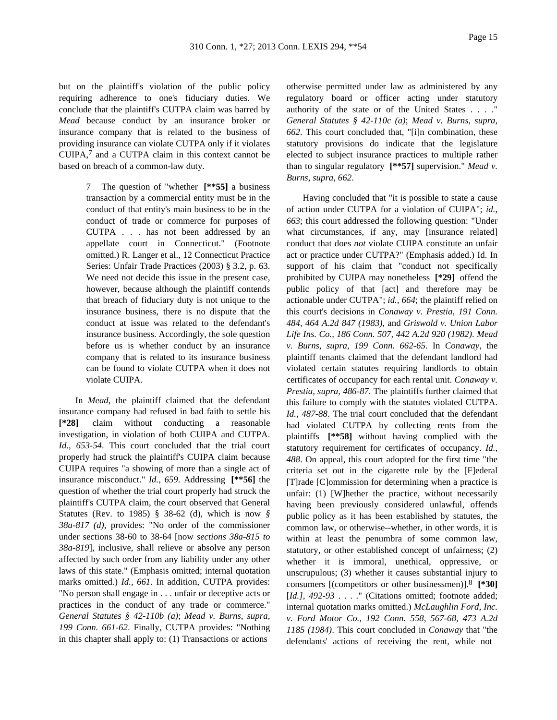but on the plaintiff's violation of the public policy requiring adherence to one's fiduciary duties. We conclude that the plaintiff's CUTPA claim was barred by *Mead* because conduct by an insurance broker or insurance company that is related to the business of providing insurance can violate CUTPA only if it violates CUIPA,7 and a CUTPA claim in this context cannot be based on breach of a common-law duty.

> 7 The question of "whether **[\*\*55]** a business transaction by a commercial entity must be in the conduct of that entity's main business to be in the conduct of trade or commerce for purposes of CUTPA . . . has not been addressed by an appellate court in Connecticut." (Footnote omitted.) R. Langer et al., 12 Connecticut Practice Series: Unfair Trade Practices (2003) § 3.2, p. 63. We need not decide this issue in the present case, however, because although the plaintiff contends that breach of fiduciary duty is not unique to the insurance business, there is no dispute that the conduct at issue was related to the defendant's insurance business. Accordingly, the sole question before us is whether conduct by an insurance company that is related to its insurance business can be found to violate CUTPA when it does not violate CUIPA.

In *Mead*, the plaintiff claimed that the defendant insurance company had refused in bad faith to settle his **[\*28]** claim without conducting a reasonable investigation, in violation of both CUIPA and CUTPA. *Id., 653-54*. This court concluded that the trial court properly had struck the plaintiff's CUIPA claim because CUIPA requires "a showing of more than a single act of insurance misconduct." *Id., 659*. Addressing **[\*\*56]** the question of whether the trial court properly had struck the plaintiff's CUTPA claim, the court observed that General Statutes (Rev. to 1985) § 38-62 (d), which is now *§ 38a-817 (d)*, provides: "No order of the commissioner under sections 38-60 to 38-64 [now *sections 38a-815 to 38a-819*], inclusive, shall relieve or absolve any person affected by such order from any liability under any other laws of this state." (Emphasis omitted; internal quotation marks omitted.) *Id., 661*. In addition, CUTPA provides: "No person shall engage in . . . unfair or deceptive acts or practices in the conduct of any trade or commerce." *General Statutes § 42-110b (a)*; *Mead v. Burns, supra, 199 Conn. 661-62*. Finally, CUTPA provides: "Nothing in this chapter shall apply to: (1) Transactions or actions

otherwise permitted under law as administered by any regulatory board or officer acting under statutory authority of the state or of the United States . . . ." *General Statutes § 42-110c (a)*; *Mead v. Burns, supra, 662*. This court concluded that, "[i]n combination, these statutory provisions do indicate that the legislature elected to subject insurance practices to multiple rather than to singular regulatory **[\*\*57]** supervision." *Mead v. Burns, supra, 662*.

Having concluded that "it is possible to state a cause of action under CUTPA for a violation of CUIPA"; *id., 663*; this court addressed the following question: "Under what circumstances, if any, may [insurance related] conduct that does *not* violate CUIPA constitute an unfair act or practice under CUTPA?" (Emphasis added.) Id. In support of his claim that "conduct not specifically prohibited by CUIPA may nonetheless **[\*29]** offend the public policy of that [act] and therefore may be actionable under CUTPA"; *id., 664*; the plaintiff relied on this court's decisions in *Conaway v. Prestia, 191 Conn. 484, 464 A.2d 847 (1983)*, and *Griswold v. Union Labor Life Ins. Co., 186 Conn. 507, 442 A.2d 920 (1982)*. *Mead v. Burns, supra, 199 Conn. 662-65*. In *Conaway*, the plaintiff tenants claimed that the defendant landlord had violated certain statutes requiring landlords to obtain certificates of occupancy for each rental unit. *Conaway v. Prestia, supra, 486-87*. The plaintiffs further claimed that this failure to comply with the statutes violated CUTPA. *Id., 487-88*. The trial court concluded that the defendant had violated CUTPA by collecting rents from the plaintiffs **[\*\*58]** without having complied with the statutory requirement for certificates of occupancy. *Id., 488*. On appeal, this court adopted for the first time "the criteria set out in the cigarette rule by the [F]ederal [T]rade [C]ommission for determining when a practice is unfair: (1) [W]hether the practice, without necessarily having been previously considered unlawful, offends public policy as it has been established by statutes, the common law, or otherwise--whether, in other words, it is within at least the penumbra of some common law, statutory, or other established concept of unfairness; (2) whether it is immoral, unethical, oppressive, or unscrupulous; (3) whether it causes substantial injury to consumers [(competitors or other businessmen)].8 **[\*30]** [*Id.]*, 492-93 . . . ." (Citations omitted; footnote added; internal quotation marks omitted.) *McLaughlin Ford, Inc. v. Ford Motor Co., 192 Conn. 558, 567-68, 473 A.2d 1185 (1984)*. This court concluded in *Conaway* that "the defendants' actions of receiving the rent, while not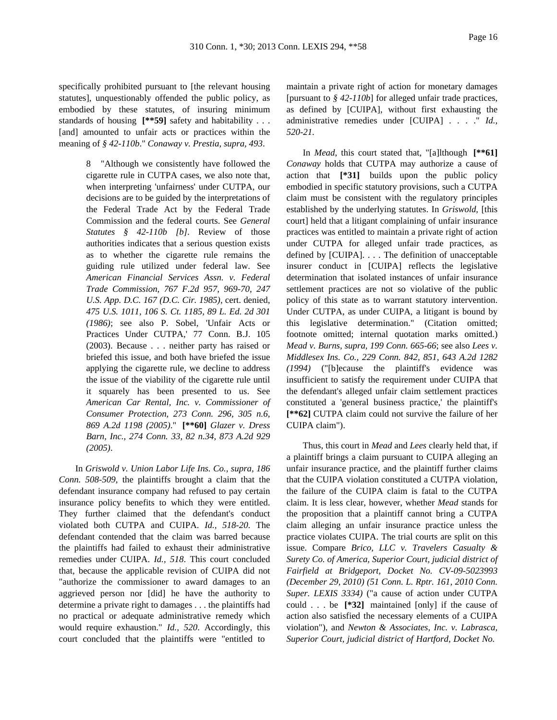specifically prohibited pursuant to [the relevant housing statutes], unquestionably offended the public policy, as embodied by these statutes, of insuring minimum standards of housing **[\*\*59]** safety and habitability . . . [and] amounted to unfair acts or practices within the meaning of *§ 42-110b*." *Conaway v. Prestia, supra, 493*.

> 8 "Although we consistently have followed the cigarette rule in CUTPA cases, we also note that, when interpreting 'unfairness' under CUTPA, our decisions are to be guided by the interpretations of the Federal Trade Act by the Federal Trade Commission and the federal courts. See *General Statutes § 42-110b [b]*. Review of those authorities indicates that a serious question exists as to whether the cigarette rule remains the guiding rule utilized under federal law. See *American Financial Services Assn. v. Federal Trade Commission, 767 F.2d 957, 969-70, 247 U.S. App. D.C. 167 (D.C. Cir. 1985)*, cert. denied, *475 U.S. 1011, 106 S. Ct. 1185, 89 L. Ed. 2d 301 (1986)*; see also P. Sobel, 'Unfair Acts or Practices Under CUTPA,' 77 Conn. B.J. 105 (2003). Because . . . neither party has raised or briefed this issue, and both have briefed the issue applying the cigarette rule, we decline to address the issue of the viability of the cigarette rule until it squarely has been presented to us. See *American Car Rental, Inc. v. Commissioner of Consumer Protection, 273 Conn. 296, 305 n.6, 869 A.2d 1198 (2005)*." **[\*\*60]** *Glazer v. Dress Barn, Inc., 274 Conn. 33, 82 n.34, 873 A.2d 929 (2005)*.

In *Griswold v. Union Labor Life Ins. Co., supra, 186 Conn. 508-509*, the plaintiffs brought a claim that the defendant insurance company had refused to pay certain insurance policy benefits to which they were entitled. They further claimed that the defendant's conduct violated both CUTPA and CUIPA. *Id., 518-20*. The defendant contended that the claim was barred because the plaintiffs had failed to exhaust their administrative remedies under CUIPA. *Id., 518*. This court concluded that, because the applicable revision of CUIPA did not "authorize the commissioner to award damages to an aggrieved person nor [did] he have the authority to determine a private right to damages . . . the plaintiffs had no practical or adequate administrative remedy which would require exhaustion." *Id., 520*. Accordingly, this court concluded that the plaintiffs were "entitled to

maintain a private right of action for monetary damages [pursuant to *§ 42-110b*] for alleged unfair trade practices, as defined by [CUIPA], without first exhausting the administrative remedies under [CUIPA] . . . ." *Id., 520-21*.

In *Mead*, this court stated that, "[a]lthough **[\*\*61]** *Conaway* holds that CUTPA may authorize a cause of action that **[\*31]** builds upon the public policy embodied in specific statutory provisions, such a CUTPA claim must be consistent with the regulatory principles established by the underlying statutes. In *Griswold*, [this court] held that a litigant complaining of unfair insurance practices was entitled to maintain a private right of action under CUTPA for alleged unfair trade practices, as defined by [CUIPA]. . . . The definition of unacceptable insurer conduct in [CUIPA] reflects the legislative determination that isolated instances of unfair insurance settlement practices are not so violative of the public policy of this state as to warrant statutory intervention. Under CUTPA, as under CUIPA, a litigant is bound by this legislative determination." (Citation omitted; footnote omitted; internal quotation marks omitted.) *Mead v. Burns, supra, 199 Conn. 665-66*; see also *Lees v. Middlesex Ins. Co., 229 Conn. 842, 851, 643 A.2d 1282 (1994)* ("[b]ecause the plaintiff's evidence was insufficient to satisfy the requirement under CUIPA that the defendant's alleged unfair claim settlement practices constituted a 'general business practice,' the plaintiff's **[\*\*62]** CUTPA claim could not survive the failure of her CUIPA claim").

Thus, this court in *Mead* and *Lees* clearly held that, if a plaintiff brings a claim pursuant to CUIPA alleging an unfair insurance practice, and the plaintiff further claims that the CUIPA violation constituted a CUTPA violation, the failure of the CUIPA claim is fatal to the CUTPA claim. It is less clear, however, whether *Mead* stands for the proposition that a plaintiff cannot bring a CUTPA claim alleging an unfair insurance practice unless the practice violates CUIPA. The trial courts are split on this issue. Compare *Brico, LLC v. Travelers Casualty & Surety Co. of America, Superior Court, judicial district of Fairfield at Bridgeport, Docket No. CV-09-5023993 (December 29, 2010) (51 Conn. L. Rptr. 161, 2010 Conn. Super. LEXIS 3334)* ("a cause of action under CUTPA could . . . be **[\*32]** maintained [only] if the cause of action also satisfied the necessary elements of a CUIPA violation"), and *Newton & Associates, Inc. v. Labrasca, Superior Court, judicial district of Hartford, Docket No.*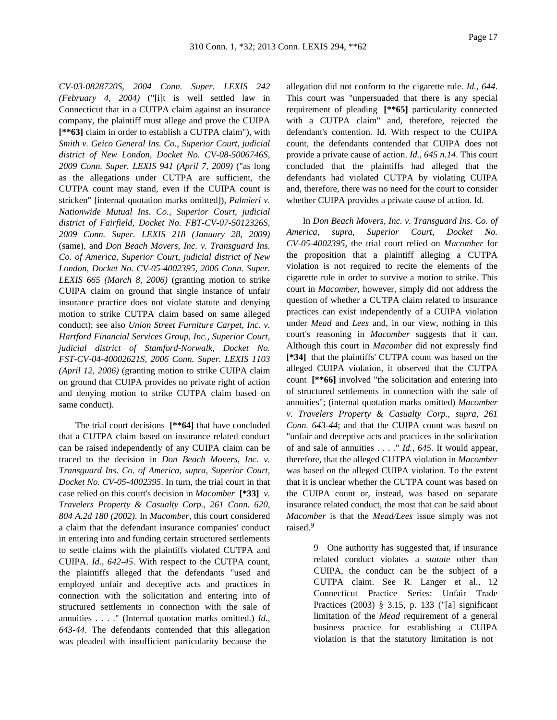*CV-03-0828720S, 2004 Conn. Super. LEXIS 242 (February 4, 2004)* ("[i]t is well settled law in Connecticut that in a CUTPA claim against an insurance company, the plaintiff must allege and prove the CUIPA **[\*\*63]** claim in order to establish a CUTPA claim"), with *Smith v. Geico General Ins. Co., Superior Court, judicial district of New London, Docket No. CV-08-5006746S, 2009 Conn. Super. LEXIS 941 (April 7, 2009)* ("as long as the allegations under CUTPA are sufficient, the CUTPA count may stand, even if the CUIPA count is stricken" [internal quotation marks omitted]), *Palmieri v. Nationwide Mutual Ins. Co., Superior Court, judicial district of Fairfield, Docket No. FBT-CV-07-5012326S, 2009 Conn. Super. LEXIS 218 (January 28, 2009)* (same), and *Don Beach Movers, Inc. v. Transguard Ins. Co. of America, Superior Court, judicial district of New London, Docket No. CV-05-4002395, 2006 Conn. Super. LEXIS 665 (March 8, 2006)* (granting motion to strike CUIPA claim on ground that single instance of unfair insurance practice does not violate statute and denying motion to strike CUTPA claim based on same alleged conduct); see also *Union Street Furniture Carpet, Inc. v. Hartford Financial Services Group, Inc., Superior Court, judicial district of Stamford-Norwalk, Docket No. FST-CV-04-40002621S, 2006 Conn. Super. LEXIS 1103 (April 12, 2006)* (granting motion to strike CUIPA claim on ground that CUIPA provides no private right of action and denying motion to strike CUTPA claim based on same conduct).

The trial court decisions **[\*\*64]** that have concluded that a CUTPA claim based on insurance related conduct can be raised independently of any CUIPA claim can be traced to the decision in *Don Beach Movers, Inc. v. Transguard Ins. Co. of America, supra, Superior Court, Docket No. CV-05-4002395*. In turn, the trial court in that case relied on this court's decision in *Macomber* **[\*33]** *v. Travelers Property & Casualty Corp., 261 Conn. 620, 804 A.2d 180 (2002)*. In *Macomber*, this court considered a claim that the defendant insurance companies' conduct in entering into and funding certain structured settlements to settle claims with the plaintiffs violated CUTPA and CUIPA. *Id., 642-45*. With respect to the CUTPA count, the plaintiffs alleged that the defendants "used and employed unfair and deceptive acts and practices in connection with the solicitation and entering into of structured settlements in connection with the sale of annuities . . . ." (Internal quotation marks omitted.) *Id., 643-44*. The defendants contended that this allegation was pleaded with insufficient particularity because the

allegation did not conform to the cigarette rule. *Id., 644*. This court was "unpersuaded that there is any special requirement of pleading **[\*\*65]** particularity connected with a CUTPA claim" and, therefore, rejected the defendant's contention. Id. With respect to the CUIPA count, the defendants contended that CUIPA does not provide a private cause of action. *Id., 645 n.14*. This court concluded that the plaintiffs had alleged that the defendants had violated CUTPA by violating CUIPA and, therefore, there was no need for the court to consider whether CUIPA provides a private cause of action. Id.

In *Don Beach Movers, Inc. v. Transguard Ins. Co. of America, supra, Superior Court, Docket No. CV-05-4002395*, the trial court relied on *Macomber* for the proposition that a plaintiff alleging a CUTPA violation is not required to recite the elements of the cigarette rule in order to survive a motion to strike. This court in *Macomber*, however, simply did not address the question of whether a CUTPA claim related to insurance practices can exist independently of a CUIPA violation under *Mead* and *Lees* and, in our view, nothing in this court's reasoning in *Macomber* suggests that it can. Although this court in *Macomber* did not expressly find **[\*34]** that the plaintiffs' CUTPA count was based on the alleged CUIPA violation, it observed that the CUTPA count **[\*\*66]** involved "the solicitation and entering into of structured settlements in connection with the sale of annuities"; (internal quotation marks omitted) *Macomber v. Travelers Property & Casualty Corp., supra, 261 Conn. 643-44*; and that the CUIPA count was based on "unfair and deceptive acts and practices in the solicitation of and sale of annuities . . . ." *Id., 645*. It would appear, therefore, that the alleged CUTPA violation in *Macomber* was based on the alleged CUIPA violation. To the extent that it is unclear whether the CUTPA count was based on the CUIPA count or, instead, was based on separate insurance related conduct, the most that can be said about *Macomber* is that the *Mead/Lees* issue simply was not raised.9

> 9 One authority has suggested that, if insurance related conduct violates a *statute* other than CUIPA, the conduct can be the subject of a CUTPA claim. See R. Langer et al., 12 Connecticut Practice Series: Unfair Trade Practices (2003) § 3.15, p. 133 ("[a] significant limitation of the *Mead* requirement of a general business practice for establishing a CUIPA violation is that the statutory limitation is not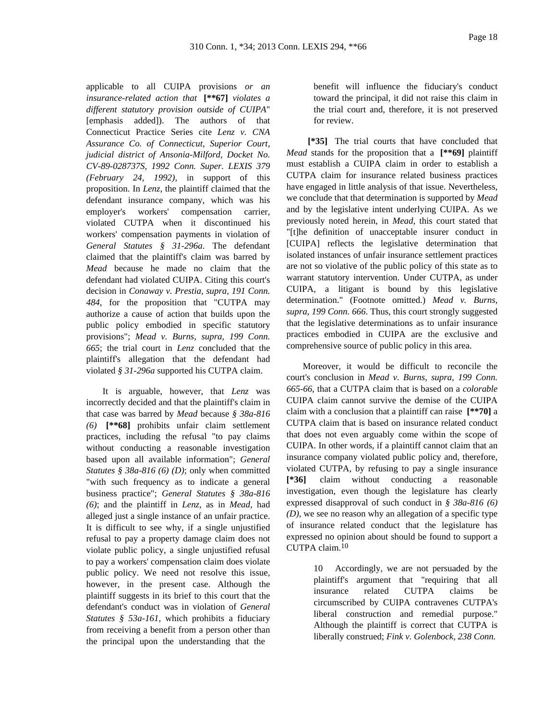applicable to all CUIPA provisions *or an insurance-related action that* **[\*\*67]** *violates a different statutory provision outside of CUIPA*" [emphasis added]). The authors of that Connecticut Practice Series cite *Lenz v. CNA Assurance Co. of Connecticut, Superior Court, judicial district of Ansonia-Milford, Docket No. CV-89-028737S, 1992 Conn. Super. LEXIS 379 (February 24, 1992)*, in support of this proposition. In *Lenz*, the plaintiff claimed that the defendant insurance company, which was his employer's workers' compensation carrier, violated CUTPA when it discontinued his workers' compensation payments in violation of *General Statutes § 31-296a*. The defendant claimed that the plaintiff's claim was barred by *Mead* because he made no claim that the defendant had violated CUIPA. Citing this court's decision in *Conaway v. Prestia, supra, 191 Conn. 484*, for the proposition that "CUTPA may authorize a cause of action that builds upon the public policy embodied in specific statutory provisions"; *Mead v. Burns, supra, 199 Conn. 665*; the trial court in *Lenz* concluded that the plaintiff's allegation that the defendant had violated *§ 31-296a* supported his CUTPA claim.

It is arguable, however, that *Lenz* was incorrectly decided and that the plaintiff's claim in that case was barred by *Mead* because *§ 38a-816 (6)* **[\*\*68]** prohibits unfair claim settlement practices, including the refusal "to pay claims without conducting a reasonable investigation based upon all available information"; *General Statutes § 38a-816 (6) (D)*; only when committed "with such frequency as to indicate a general business practice"; *General Statutes § 38a-816 (6)*; and the plaintiff in *Lenz*, as in *Mead*, had alleged just a single instance of an unfair practice. It is difficult to see why, if a single unjustified refusal to pay a property damage claim does not violate public policy, a single unjustified refusal to pay a workers' compensation claim does violate public policy. We need not resolve this issue, however, in the present case. Although the plaintiff suggests in its brief to this court that the defendant's conduct was in violation of *General Statutes § 53a-161*, which prohibits a fiduciary from receiving a benefit from a person other than the principal upon the understanding that the

benefit will influence the fiduciary's conduct toward the principal, it did not raise this claim in the trial court and, therefore, it is not preserved for review.

**[\*35]** The trial courts that have concluded that *Mead* stands for the proposition that a **[\*\*69]** plaintiff must establish a CUIPA claim in order to establish a CUTPA claim for insurance related business practices have engaged in little analysis of that issue. Nevertheless, we conclude that that determination is supported by *Mead* and by the legislative intent underlying CUIPA. As we previously noted herein, in *Mead*, this court stated that "[t]he definition of unacceptable insurer conduct in [CUIPA] reflects the legislative determination that isolated instances of unfair insurance settlement practices are not so violative of the public policy of this state as to warrant statutory intervention. Under CUTPA, as under CUIPA, a litigant is bound by this legislative determination." (Footnote omitted.) *Mead v. Burns, supra, 199 Conn. 666*. Thus, this court strongly suggested that the legislative determinations as to unfair insurance practices embodied in CUIPA are the exclusive and comprehensive source of public policy in this area.

Moreover, it would be difficult to reconcile the court's conclusion in *Mead v. Burns, supra, 199 Conn. 665-66*, that a CUTPA claim that is based on a *colorable* CUIPA claim cannot survive the demise of the CUIPA claim with a conclusion that a plaintiff can raise **[\*\*70]** a CUTPA claim that is based on insurance related conduct that does not even arguably come within the scope of CUIPA. In other words, if a plaintiff cannot claim that an insurance company violated public policy and, therefore, violated CUTPA, by refusing to pay a single insurance **[\*36]** claim without conducting a reasonable investigation, even though the legislature has clearly expressed disapproval of such conduct in *§ 38a-816 (6) (D)*, we see no reason why an allegation of a specific type of insurance related conduct that the legislature has expressed no opinion about should be found to support a CUTPA claim.10

> 10 Accordingly, we are not persuaded by the plaintiff's argument that "requiring that all insurance related CUTPA claims be circumscribed by CUIPA contravenes CUTPA's liberal construction and remedial purpose." Although the plaintiff is correct that CUTPA is liberally construed; *Fink v. Golenbock, 238 Conn.*